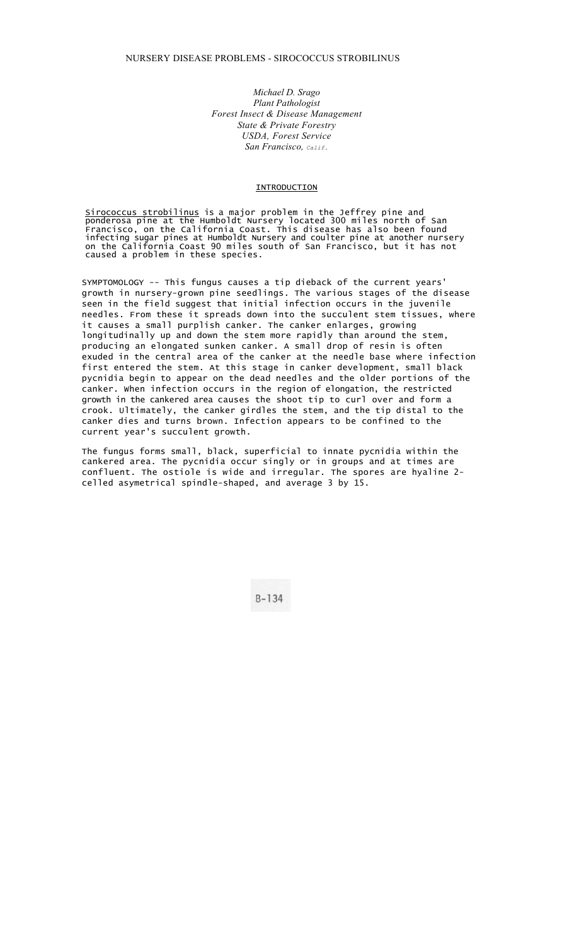*Michael D. Srago Plant Pathologist Forest Insect & Disease Management State & Private Forestry USDA, Forest Service San Francisco, Calif.* 

## INTRODUCTION

<u>Sirococcus strobilinus</u> is a major problem in the Jeffrey pine and ponderosa pine at the Humboldt Nursery located 300 miles north of San Francisco, on the California Coast. This disease has also been found infecting sugar pines at Humboldt Nursery and coulter pine at another nursery on the California Coast 90 miles south of San Francisco, but it has not caused a problem in these species.

SYMPTOMOLOGY -- This fungus causes a tip dieback of the current years' growth in nursery-grown pine seedlings. The various stages of the disease seen in the field suggest that initial infection occurs in the juvenile needles. From these it spreads down into the succulent stem tissues, where it causes a small purplish canker. The canker enlarges, growing longitudinally up and down the stem more rapidly than around the stem, producing an elongated sunken canker. A small drop of resin is often exuded in the central area of the canker at the needle base where infection first entered the stem. At this stage in canker development, small black pycnidia begin to appear on the dead needles and the older portions of the canker. When infection occurs in the region of elongation, the restricted growth in the cankered area causes the shoot tip to curl over and form a crook. Ultimately, the canker girdles the stem, and the tip distal to the canker dies and turns brown. Infection appears to be confined to the current year's succulent growth.

The fungus forms small, black, superficial to innate pycnidia within the cankered area. The pycnidia occur singly or in groups and at times are confluent. The ostiole is wide and irregular. The spores are hyaline 2 celled asymetrical spindle-shaped, and average 3 by 15.

 $B-134$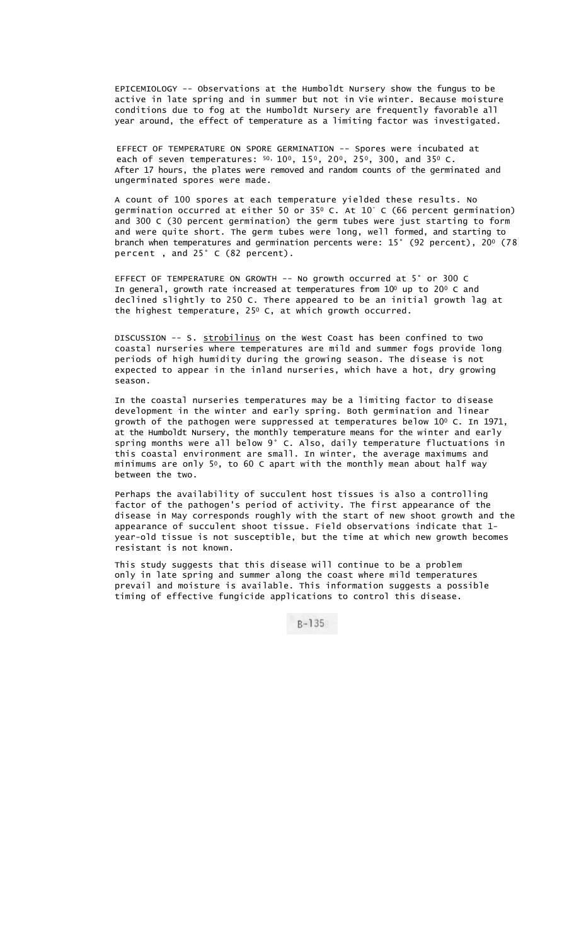EPICEMIOLOGY -- Observations at the Humboldt Nursery show the fungus to be active in late spring and in summer but not in Vie winter. Because moisture conditions due to fog at the Humboldt Nursery are frequently favorable all year around, the effect of temperature as a limiting factor was investigated.

EFFECT OF TEMPERATURE ON SPORE GERMINATION -- Spores were incubated at each of seven temperatures:  $50, 100, 150, 200, 250, 300,$  and 350 C. After 17 hours, the plates were removed and random counts of the germinated and ungerminated spores were made.

A count of 100 spores at each temperature yielded these results. No germination occurred at either 50 or 350 C. At 10° C (66 percent germination) and 300 C (30 percent germination) the germ tubes were just starting to form and were quite short. The germ tubes were long, well formed, and starting to branch when temperatures and germination percents were: 15° (92 percent), 200 (78 percent , and 25° C (82 percent).

EFFECT OF TEMPERATURE ON GROWTH -- No growth occurred at 5° or 300 C In general, growth rate increased at temperatures from  $10^{\circ}$  up to 20 $^{\circ}$  C and declined slightly to 250 C. There appeared to be an initial growth lag at the highest temperature, 25<sup>0</sup> C, at which growth occurred.

DISCUSSION -- S. strobilinus on the West Coast has been confined to two coastal nurseries where temperatures are mild and summer fogs provide long periods of high humidity during the growing season. The disease is not expected to appear in the inland nurseries, which have a hot, dry growing season.

In the coastal nurseries temperatures may be a limiting factor to disease development in the winter and early spring. Both germination and linear growth of the pathogen were suppressed at temperatures below 100 C. In 1971, at the Humboldt Nursery, the monthly temperature means for the winter and early spring months were all below 9° C. Also, daily temperature fluctuations in this coastal environment are small. In winter, the average maximums and minimums are only 50, to 60 C apart with the monthly mean about half way between the two.

Perhaps the availability of succulent host tissues is also a controlling factor of the pathogen's period of activity. The first appearance of the disease in May corresponds roughly with the start of new shoot growth and the appearance of succulent shoot tissue. Field observations indicate that 1 year-old tissue is not susceptible, but the time at which new growth becomes resistant is not known.

This study suggests that this disease will continue to be a problem only in late spring and summer along the coast where mild temperatures prevail and moisture is available. This information suggests a possible timing of effective fungicide applications to control this disease.

 $B - 135$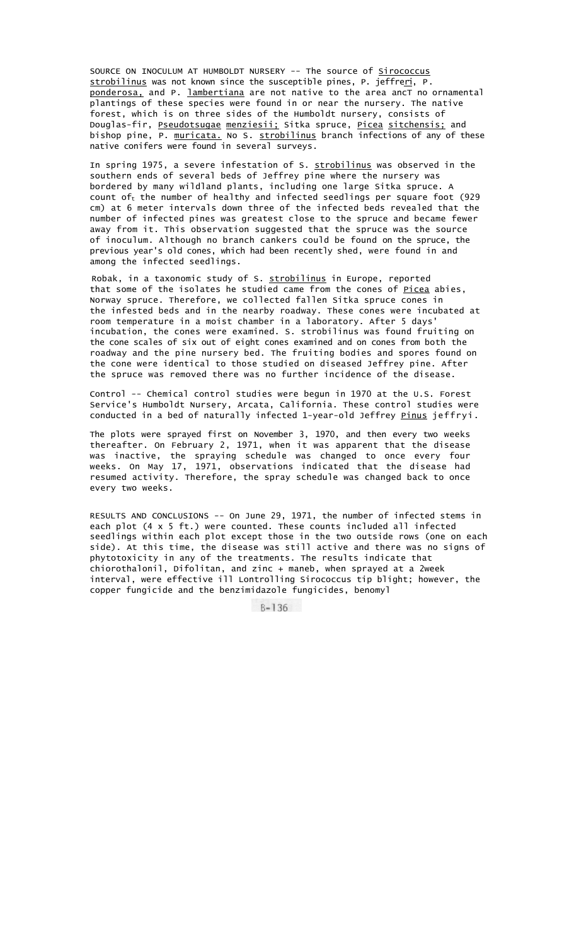SOURCE ON INOCULUM AT HUMBOLDT NURSERY -- The source of Sirococcus strobilinus was not known since the susceptible pines, P. jeffreri, P. ponderosa, and P. lambertiana are not native to the area ancT no ornamental plantings of these species were found in or near the nursery. The native forest, which is on three sides of the Humboldt nursery, consists of Douglas-fir, Pseudotsugae menziesii; Sitka spruce, Picea sitchensis; and bishop pine, P. <u>muricata.</u> No S. <u>strobilinus</u> branch infections of any of these native conifers were found in several surveys.

In spring 1975, a severe infestation of S. strobilinus was observed in the southern ends of several beds of Jeffrey pine where the nursery was bordered by many wildland plants, including one large Sitka spruce. A count of<sub>t</sub> the number of healthy and infected seedlings per square foot (929 cm) at 6 meter intervals down three of the infected beds revealed that the number of infected pines was greatest close to the spruce and became fewer away from it. This observation suggested that the spruce was the source of inoculum. Although no branch cankers could be found on the spruce, the previous year's old cones, which had been recently shed, were found in and among the infected seedlings.

Robak, in a taxonomic study of S. **strobilinus** in Europe, reported that some of the isolates he studied came from the cones of Picea abies, Norway spruce. Therefore, we collected fallen Sitka spruce cones in the infested beds and in the nearby roadway. These cones were incubated at room temperature in a moist chamber in a laboratory. After 5 days' incubation, the cones were examined. S. strobilinus was found fruiting on the cone scales of six out of eight cones examined and on cones from both the roadway and the pine nursery bed. The fruiting bodies and spores found on the cone were identical to those studied on diseased Jeffrey pine. After the spruce was removed there was no further incidence of the disease.

Control -- Chemical control studies were begun in 1970 at the U.S. Forest Service's Humboldt Nursery, Arcata, California. These control studies were conducted in a bed of naturally infected 1-year-old Jeffrey Pinus jeffryi.

The plots were sprayed first on November 3, 1970, and then every two weeks thereafter. On February 2, 1971, when it was apparent that the disease was inactive, the spraying schedule was changed to once every four weeks. On May 17, 1971, observations indicated that the disease had resumed activity. Therefore, the spray schedule was changed back to once every two weeks.

RESULTS AND CONCLUSIONS -- On June 29, 1971, the number of infected stems in each plot (4 x 5 ft.) were counted. These counts included all infected seedlings within each plot except those in the two outside rows (one on each side). At this time, the disease was still active and there was no signs of phytotoxicity in any of the treatments. The results indicate that chiorothalonil, Difolitan, and zinc + maneb, when sprayed at a 2week interval, were effective ill Lontrolling Sirococcus tip blight; however, the copper fungicide and the benzimidazole fungicides, benomyl

> $B-136$ Ξ